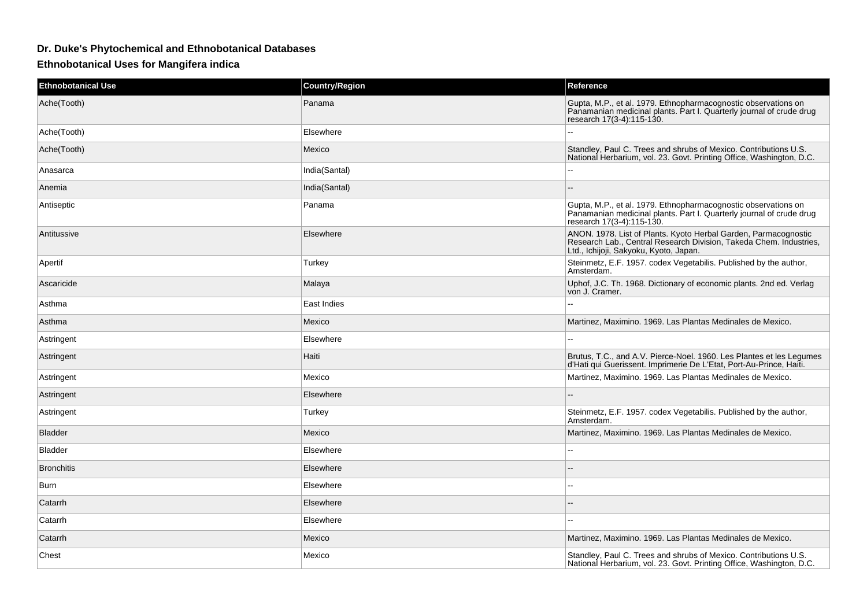## **Dr. Duke's Phytochemical and Ethnobotanical Databases**

## **Ethnobotanical Uses for Mangifera indica**

| <b>Ethnobotanical Use</b> | <b>Country/Region</b> | Reference                                                                                                                                                                       |
|---------------------------|-----------------------|---------------------------------------------------------------------------------------------------------------------------------------------------------------------------------|
| Ache(Tooth)               | Panama                | Gupta, M.P., et al. 1979. Ethnopharmacognostic observations on<br>Panamanian medicinal plants. Part I. Quarterly journal of crude drug<br>research 17(3-4):115-130.             |
| Ache(Tooth)               | Elsewhere             | Ξ.                                                                                                                                                                              |
| Ache(Tooth)               | Mexico                | Standley, Paul C. Trees and shrubs of Mexico. Contributions U.S.<br>National Herbarium, vol. 23. Govt. Printing Office, Washington, D.C.                                        |
| Anasarca                  | India(Santal)         | --                                                                                                                                                                              |
| Anemia                    | India(Santal)         |                                                                                                                                                                                 |
| Antiseptic                | Panama                | Gupta, M.P., et al. 1979. Ethnopharmacognostic observations on<br>Panamanian medicinal plants. Part I. Quarterly journal of crude drug<br>research 17(3-4):115-130.             |
| Antitussive               | Elsewhere             | ANON. 1978. List of Plants. Kyoto Herbal Garden, Parmacognostic<br>Research Lab., Central Research Division, Takeda Chem. Industries,<br>Ltd., Ichijoji, Sakyoku, Kyoto, Japan. |
| Apertif                   | Turkey                | Steinmetz, E.F. 1957. codex Vegetabilis. Published by the author,<br>Amsterdam.                                                                                                 |
| Ascaricide                | Malaya                | Uphof, J.C. Th. 1968. Dictionary of economic plants. 2nd ed. Verlag<br>von J. Cramer.                                                                                           |
| Asthma                    | East Indies           | Ξ.                                                                                                                                                                              |
| Asthma                    | Mexico                | Martinez, Maximino. 1969. Las Plantas Medinales de Mexico.                                                                                                                      |
| Astringent                | Elsewhere             |                                                                                                                                                                                 |
| Astringent                | Haiti                 | Brutus, T.C., and A.V. Pierce-Noel. 1960. Les Plantes et les Legumes<br>d'Hati qui Guerissent. Imprimerie De L'Etat, Port-Au-Prince, Haiti.                                     |
| Astringent                | Mexico                | Martinez, Maximino. 1969. Las Plantas Medinales de Mexico.                                                                                                                      |
| Astringent                | Elsewhere             | --                                                                                                                                                                              |
| Astringent                | Turkey                | Steinmetz, E.F. 1957. codex Vegetabilis. Published by the author,<br>Amsterdam.                                                                                                 |
| <b>Bladder</b>            | Mexico                | Martinez, Maximino. 1969. Las Plantas Medinales de Mexico.                                                                                                                      |
| <b>Bladder</b>            | Elsewhere             | $\sim$                                                                                                                                                                          |
| <b>Bronchitis</b>         | Elsewhere             | --                                                                                                                                                                              |
| Burn                      | Elsewhere             | --                                                                                                                                                                              |
| Catarrh                   | Elsewhere             |                                                                                                                                                                                 |
| Catarrh                   | Elsewhere             | $=$                                                                                                                                                                             |
| Catarrh                   | Mexico                | Martinez, Maximino. 1969. Las Plantas Medinales de Mexico.                                                                                                                      |
| Chest                     | Mexico                | Standley, Paul C. Trees and shrubs of Mexico. Contributions U.S.<br>National Herbarium, vol. 23. Govt. Printing Office, Washington, D.C.                                        |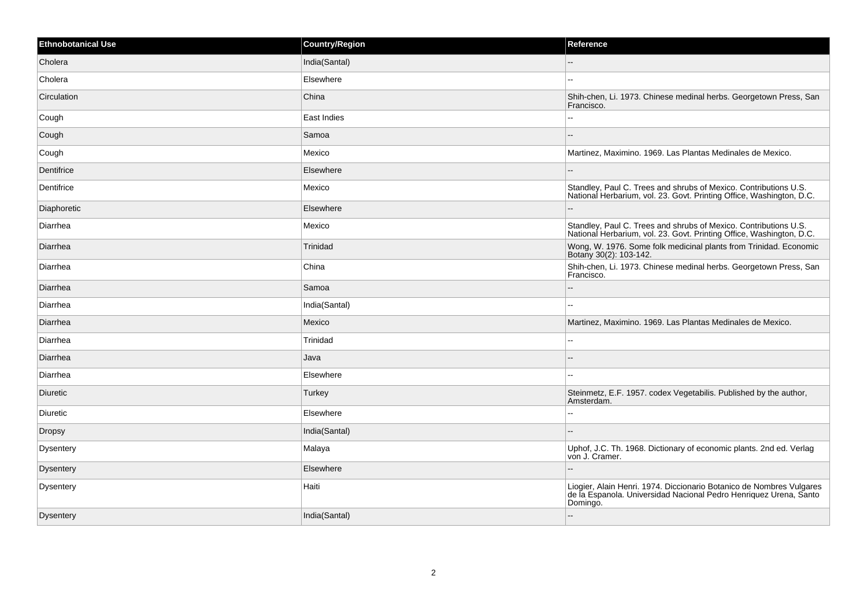| <b>Ethnobotanical Use</b> | <b>Country/Region</b> | Reference                                                                                                                                             |
|---------------------------|-----------------------|-------------------------------------------------------------------------------------------------------------------------------------------------------|
| Cholera                   | India(Santal)         | $\overline{a}$                                                                                                                                        |
| Cholera                   | Elsewhere             | $\sim$                                                                                                                                                |
| Circulation               | China                 | Shih-chen, Li. 1973. Chinese medinal herbs. Georgetown Press, San<br>Francisco.                                                                       |
| Cough                     | East Indies           |                                                                                                                                                       |
| Cough                     | Samoa                 |                                                                                                                                                       |
| Cough                     | Mexico                | Martinez, Maximino. 1969. Las Plantas Medinales de Mexico.                                                                                            |
| Dentifrice                | Elsewhere             |                                                                                                                                                       |
| Dentifrice                | Mexico                | Standley, Paul C. Trees and shrubs of Mexico. Contributions U.S.<br>National Herbarium, vol. 23. Govt. Printing Office, Washington, D.C.              |
| Diaphoretic               | Elsewhere             |                                                                                                                                                       |
| Diarrhea                  | Mexico                | Standley, Paul C. Trees and shrubs of Mexico. Contributions U.S.<br>National Herbarium, vol. 23. Govt. Printing Office, Washington, D.C.              |
| Diarrhea                  | Trinidad              | Wong, W. 1976. Some folk medicinal plants from Trinidad. Economic<br>Botany 30(2): 103-142.                                                           |
| Diarrhea                  | China                 | Shih-chen, Li. 1973. Chinese medinal herbs. Georgetown Press, San<br>Francisco.                                                                       |
| Diarrhea                  | Samoa                 |                                                                                                                                                       |
| Diarrhea                  | India(Santal)         | $\overline{a}$                                                                                                                                        |
| Diarrhea                  | Mexico                | Martinez, Maximino. 1969. Las Plantas Medinales de Mexico.                                                                                            |
| Diarrhea                  | Trinidad              | --                                                                                                                                                    |
| Diarrhea                  | Java                  |                                                                                                                                                       |
| Diarrhea                  | Elsewhere             |                                                                                                                                                       |
| Diuretic                  | Turkey                | Steinmetz, E.F. 1957. codex Vegetabilis. Published by the author,<br>Amsterdam.                                                                       |
| Diuretic                  | Elsewhere             | Щ,                                                                                                                                                    |
| Dropsy                    | India(Santal)         |                                                                                                                                                       |
| <b>Dysentery</b>          | Malaya                | Uphof, J.C. Th. 1968. Dictionary of economic plants. 2nd ed. Verlag<br>von J. Cramer.                                                                 |
| <b>Dysentery</b>          | Elsewhere             | $-$                                                                                                                                                   |
| Dysentery                 | Haiti                 | Liogier, Alain Henri. 1974. Diccionario Botanico de Nombres Vulgares<br>de la Espanola. Universidad Nacional Pedro Henriquez Urena, Santo<br>Domingo. |
| <b>Dysentery</b>          | India(Santal)         | $-$                                                                                                                                                   |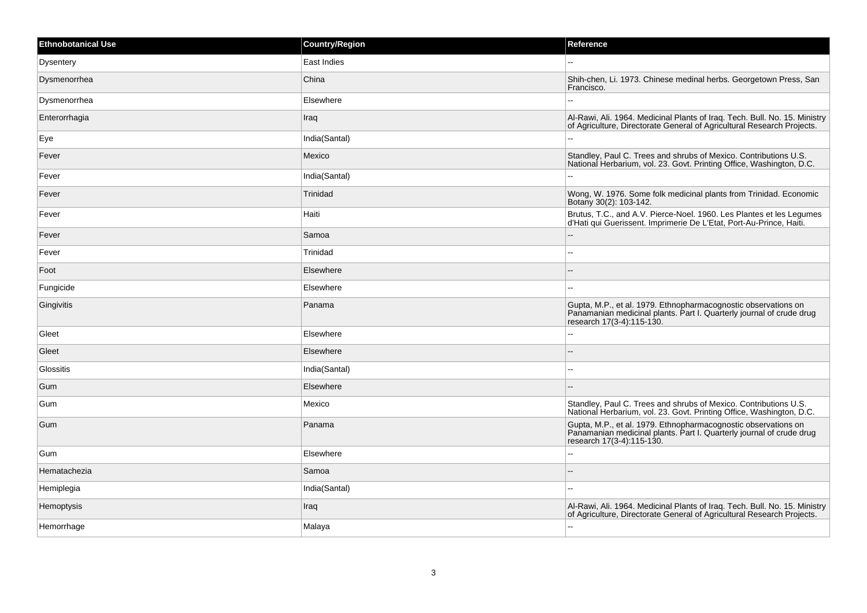| <b>Ethnobotanical Use</b> | <b>Country/Region</b> | Reference                                                                                                                                                           |
|---------------------------|-----------------------|---------------------------------------------------------------------------------------------------------------------------------------------------------------------|
| Dysentery                 | East Indies           |                                                                                                                                                                     |
| Dysmenorrhea              | China                 | Shih-chen, Li. 1973. Chinese medinal herbs. Georgetown Press, San<br>Francisco.                                                                                     |
| Dysmenorrhea              | Elsewhere             |                                                                                                                                                                     |
| Enterorrhagia             | Iraq                  | Al-Rawi, Ali. 1964. Medicinal Plants of Iraq. Tech. Bull. No. 15. Ministry<br>of Agriculture, Directorate General of Agricultural Research Projects.                |
| Eye                       | India(Santal)         |                                                                                                                                                                     |
| Fever                     | Mexico                | Standley, Paul C. Trees and shrubs of Mexico. Contributions U.S.<br>National Herbarium, vol. 23. Govt. Printing Office, Washington, D.C.                            |
| Fever                     | India(Santal)         |                                                                                                                                                                     |
| Fever                     | Trinidad              | Wong, W. 1976. Some folk medicinal plants from Trinidad. Economic<br>Botany 30(2): 103-142.                                                                         |
| Fever                     | Haiti                 | Brutus, T.C., and A.V. Pierce-Noel. 1960. Les Plantes et les Legumes<br>d'Hati qui Guerissent. Imprimerie De L'Etat, Port-Au-Prince, Haiti.                         |
| Fever                     | Samoa                 |                                                                                                                                                                     |
| Fever                     | Trinidad              |                                                                                                                                                                     |
| Foot                      | Elsewhere             |                                                                                                                                                                     |
| Fungicide                 | Elsewhere             |                                                                                                                                                                     |
| Gingivitis                | Panama                | Gupta, M.P., et al. 1979. Ethnopharmacognostic observations on<br>Panamanian medicinal plants. Part I. Quarterly journal of crude drug<br>research 17(3-4):115-130. |
| Gleet                     | Elsewhere             |                                                                                                                                                                     |
| Gleet                     | Elsewhere             |                                                                                                                                                                     |
| Glossitis                 | India(Santal)         | --                                                                                                                                                                  |
| Gum                       | Elsewhere             |                                                                                                                                                                     |
| Gum                       | Mexico                | Standley, Paul C. Trees and shrubs of Mexico. Contributions U.S.<br>National Herbarium, vol. 23. Govt. Printing Office, Washington, D.C.                            |
| Gum                       | Panama                | Gupta, M.P., et al. 1979. Ethnopharmacognostic observations on<br>Panamanian medicinal plants. Part I. Quarterly journal of crude drug<br>research 17(3-4):115-130. |
| Gum                       | Elsewhere             |                                                                                                                                                                     |
| Hematachezia              | Samoa                 |                                                                                                                                                                     |
| Hemiplegia                | India(Santal)         |                                                                                                                                                                     |
| Hemoptysis                | Iraq                  | Al-Rawi, Ali. 1964. Medicinal Plants of Iraq. Tech. Bull. No. 15. Ministry<br>of Agriculture, Directorate General of Agricultural Research Projects.                |
| Hemorrhage                | Malaya                | $\overline{a}$                                                                                                                                                      |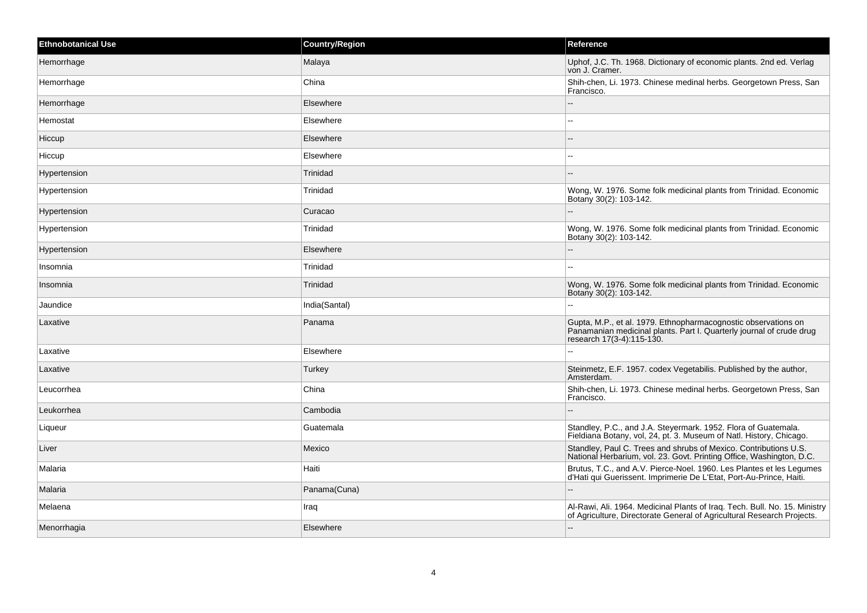| Ethnobotanical Use | <b>Country/Region</b> | Reference                                                                                                                                                           |
|--------------------|-----------------------|---------------------------------------------------------------------------------------------------------------------------------------------------------------------|
| Hemorrhage         | Malaya                | Uphof, J.C. Th. 1968. Dictionary of economic plants. 2nd ed. Verlag<br>von J. Cramer.                                                                               |
| Hemorrhage         | China                 | Shih-chen, Li. 1973. Chinese medinal herbs. Georgetown Press, San<br>Francisco.                                                                                     |
| Hemorrhage         | Elsewhere             | $-$                                                                                                                                                                 |
| Hemostat           | Elsewhere             | $\sim$                                                                                                                                                              |
| Hiccup             | Elsewhere             |                                                                                                                                                                     |
| Hiccup             | Elsewhere             | $-1$                                                                                                                                                                |
| Hypertension       | Trinidad              |                                                                                                                                                                     |
| Hypertension       | Trinidad              | Wong, W. 1976. Some folk medicinal plants from Trinidad. Economic<br>Botany 30(2): 103-142.                                                                         |
| Hypertension       | Curacao               | $-$                                                                                                                                                                 |
| Hypertension       | Trinidad              | Wong, W. 1976. Some folk medicinal plants from Trinidad. Economic<br>Botany 30(2): 103-142.                                                                         |
| Hypertension       | Elsewhere             | $-$                                                                                                                                                                 |
| Insomnia           | Trinidad              | $-$                                                                                                                                                                 |
| Insomnia           | Trinidad              | Wong, W. 1976. Some folk medicinal plants from Trinidad. Economic<br>Botany 30(2): 103-142.                                                                         |
| Jaundice           | India(Santal)         | $\overline{a}$                                                                                                                                                      |
| Laxative           | Panama                | Gupta, M.P., et al. 1979. Ethnopharmacognostic observations on<br>Panamanian medicinal plants. Part I. Quarterly journal of crude drug<br>research 17(3-4):115-130. |
| Laxative           | Elsewhere             |                                                                                                                                                                     |
| Laxative           | Turkey                | Steinmetz, E.F. 1957. codex Vegetabilis. Published by the author,<br>Amsterdam.                                                                                     |
| Leucorrhea         | China                 | Shih-chen, Li. 1973. Chinese medinal herbs. Georgetown Press, San<br>Francisco.                                                                                     |
| Leukorrhea         | Cambodia              |                                                                                                                                                                     |
| Liqueur            | Guatemala             | Standley, P.C., and J.A. Steyermark. 1952. Flora of Guatemala.<br>Fieldiana Botany, vol, 24, pt. 3. Museum of Natl. History, Chicago.                               |
| Liver              | Mexico                | Standley, Paul C. Trees and shrubs of Mexico. Contributions U.S.<br>National Herbarium, vol. 23. Govt. Printing Office, Washington, D.C.                            |
| Malaria            | Haiti                 | Brutus, T.C., and A.V. Pierce-Noel. 1960. Les Plantes et les Legumes<br>d'Hati qui Guerissent. Imprimerie De L'Etat, Port-Au-Prince, Haiti.                         |
| Malaria            | Panama(Cuna)          |                                                                                                                                                                     |
| Melaena            | Iraq                  | Al-Rawi, Ali. 1964. Medicinal Plants of Iraq. Tech. Bull. No. 15. Ministry<br>of Agriculture, Directorate General of Agricultural Research Projects.                |
| Menorrhagia        | Elsewhere             | $-$                                                                                                                                                                 |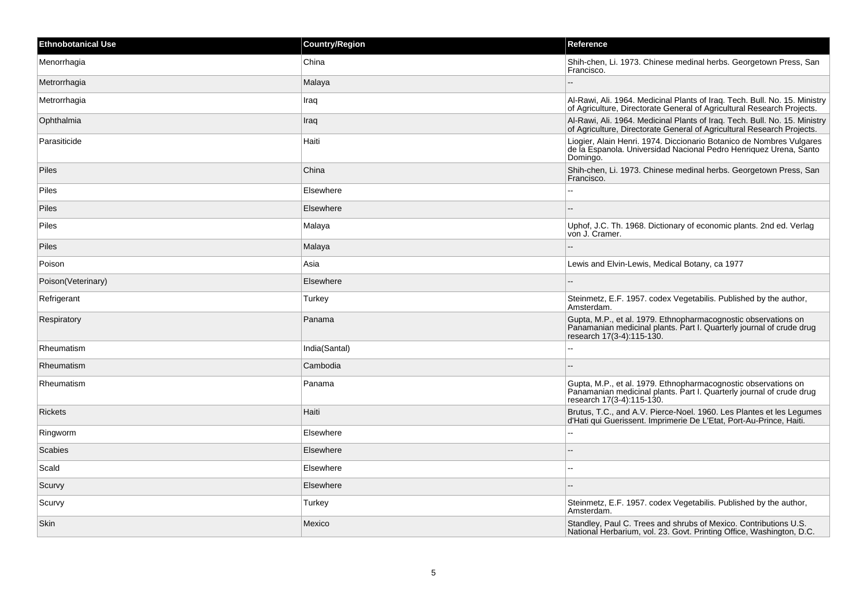| <b>Ethnobotanical Use</b> | <b>Country/Region</b> | Reference                                                                                                                                                           |
|---------------------------|-----------------------|---------------------------------------------------------------------------------------------------------------------------------------------------------------------|
| Menorrhagia               | China                 | Shih-chen, Li. 1973. Chinese medinal herbs. Georgetown Press, San<br>Francisco.                                                                                     |
| Metrorrhagia              | Malaya                | $\sim$                                                                                                                                                              |
| Metrorrhagia              | Iraq                  | Al-Rawi, Ali. 1964. Medicinal Plants of Iraq. Tech. Bull. No. 15. Ministry<br>of Agriculture, Directorate General of Agricultural Research Projects.                |
| Ophthalmia                | Iraq                  | Al-Rawi, Ali. 1964. Medicinal Plants of Iraq. Tech. Bull. No. 15. Ministry<br>of Agriculture, Directorate General of Agricultural Research Projects.                |
| Parasiticide              | Haiti                 | Liogier, Alain Henri. 1974. Diccionario Botanico de Nombres Vulgares<br>de la Espanola. Universidad Nacional Pedro Henriquez Urena, Santo<br>Domingo.               |
| <b>Piles</b>              | China                 | Shih-chen, Li. 1973. Chinese medinal herbs. Georgetown Press, San<br>Francisco.                                                                                     |
| Piles                     | Elsewhere             | $\sim$                                                                                                                                                              |
| Piles                     | Elsewhere             |                                                                                                                                                                     |
| Piles                     | Malaya                | Uphof, J.C. Th. 1968. Dictionary of economic plants. 2nd ed. Verlag<br>von J. Cramer.                                                                               |
| <b>Piles</b>              | Malaya                |                                                                                                                                                                     |
| Poison                    | Asia                  | Lewis and Elvin-Lewis, Medical Botany, ca 1977                                                                                                                      |
| Poison(Veterinary)        | Elsewhere             |                                                                                                                                                                     |
| Refrigerant               | Turkey                | Steinmetz, E.F. 1957. codex Vegetabilis. Published by the author,<br>Amsterdam.                                                                                     |
| Respiratory               | Panama                | Gupta, M.P., et al. 1979. Ethnopharmacognostic observations on<br>Panamanian medicinal plants. Part I. Quarterly journal of crude drug<br>research 17(3-4):115-130. |
| Rheumatism                | India(Santal)         | --                                                                                                                                                                  |
| Rheumatism                | Cambodia              |                                                                                                                                                                     |
| Rheumatism                | Panama                | Gupta, M.P., et al. 1979. Ethnopharmacognostic observations on<br>Panamanian medicinal plants. Part I. Quarterly journal of crude drug<br>research 17(3-4):115-130. |
| <b>Rickets</b>            | Haiti                 | Brutus, T.C., and A.V. Pierce-Noel. 1960. Les Plantes et les Legumes<br>d'Hati qui Guerissent. Imprimerie De L'Etat, Port-Au-Prince, Haiti.                         |
| Ringworm                  | Elsewhere             | L.                                                                                                                                                                  |
| Scabies                   | Elsewhere             |                                                                                                                                                                     |
| Scald                     | Elsewhere             | $\overline{a}$                                                                                                                                                      |
| Scurvy                    | Elsewhere             |                                                                                                                                                                     |
| Scurvy                    | Turkey                | Steinmetz, E.F. 1957. codex Vegetabilis. Published by the author,<br>Amsterdam.                                                                                     |
| Skin                      | Mexico                | Standley, Paul C. Trees and shrubs of Mexico. Contributions U.S.<br>National Herbarium, vol. 23. Govt. Printing Office, Washington, D.C.                            |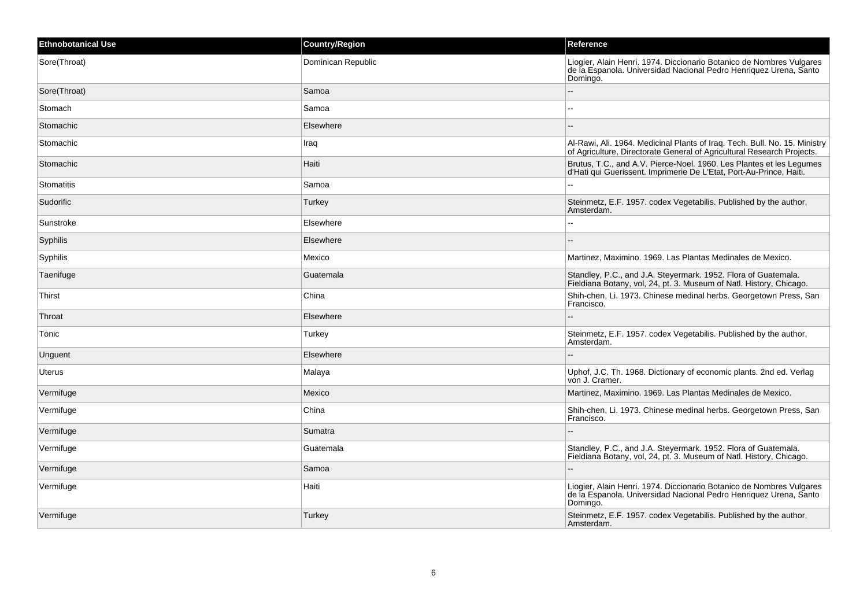| <b>Ethnobotanical Use</b> | <b>Country/Region</b> | Reference                                                                                                                                             |
|---------------------------|-----------------------|-------------------------------------------------------------------------------------------------------------------------------------------------------|
| Sore(Throat)              | Dominican Republic    | Liogier, Alain Henri. 1974. Diccionario Botanico de Nombres Vulgares<br>de la Espanola. Universidad Nacional Pedro Henriquez Urena, Santo<br>Domingo. |
| Sore(Throat)              | Samoa                 | $\overline{\phantom{a}}$                                                                                                                              |
| Stomach                   | Samoa                 | $\sim$                                                                                                                                                |
| Stomachic                 | Elsewhere             |                                                                                                                                                       |
| Stomachic                 | Iraq                  | Al-Rawi, Ali. 1964. Medicinal Plants of Iraq. Tech. Bull. No. 15. Ministry<br>of Agriculture, Directorate General of Agricultural Research Projects.  |
| Stomachic                 | Haiti                 | Brutus, T.C., and A.V. Pierce-Noel. 1960. Les Plantes et les Legumes<br>d'Hati qui Guerissent. Imprimerie De L'Etat, Port-Au-Prince, Haiti.           |
| Stomatitis                | Samoa                 |                                                                                                                                                       |
| Sudorific                 | Turkey                | Steinmetz, E.F. 1957. codex Vegetabilis. Published by the author,<br>Amsterdam.                                                                       |
| Sunstroke                 | Elsewhere             | --                                                                                                                                                    |
| Syphilis                  | Elsewhere             | --                                                                                                                                                    |
| Syphilis                  | Mexico                | Martinez, Maximino. 1969. Las Plantas Medinales de Mexico.                                                                                            |
| Taenifuge                 | Guatemala             | Standley, P.C., and J.A. Steyermark. 1952. Flora of Guatemala.<br>Fieldiana Botany, vol, 24, pt. 3. Museum of Natl. History, Chicago.                 |
| Thirst                    | China                 | Shih-chen, Li. 1973. Chinese medinal herbs. Georgetown Press, San<br>Francisco.                                                                       |
| Throat                    | Elsewhere             |                                                                                                                                                       |
| Tonic                     | Turkey                | Steinmetz, E.F. 1957. codex Vegetabilis. Published by the author,<br>Amsterdam.                                                                       |
| Unguent                   | Elsewhere             | $\overline{a}$                                                                                                                                        |
| Uterus                    | Malaya                | Uphof, J.C. Th. 1968. Dictionary of economic plants. 2nd ed. Verlag<br>von J. Cramer.                                                                 |
| Vermifuge                 | Mexico                | Martinez, Maximino. 1969. Las Plantas Medinales de Mexico.                                                                                            |
| Vermifuge                 | China                 | Shih-chen, Li. 1973. Chinese medinal herbs. Georgetown Press, San<br>Francisco.                                                                       |
| Vermifuge                 | Sumatra               |                                                                                                                                                       |
| Vermifuge                 | Guatemala             | Standley, P.C., and J.A. Steyermark. 1952. Flora of Guatemala.<br>Fieldiana Botany, vol, 24, pt. 3. Museum of Natl. History, Chicago.                 |
| Vermifuge                 | Samoa                 |                                                                                                                                                       |
| Vermifuge                 | Haiti                 | Liogier, Alain Henri. 1974. Diccionario Botanico de Nombres Vulgares<br>de la Espanola. Universidad Nacional Pedro Henriquez Urena, Santo<br>Domingo. |
| Vermifuge                 | Turkey                | Steinmetz, E.F. 1957. codex Vegetabilis. Published by the author,<br>Amsterdam.                                                                       |